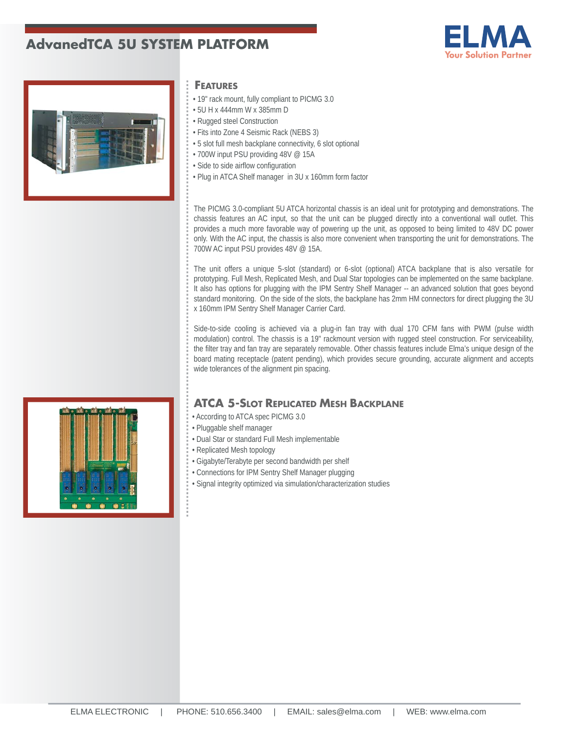# **AdvanedTCA 5U SYSTEM PLATFORM**





### **FEATURES**

- 19" rack mount, fully compliant to PICMG 3.0
- 5U H x 444mm W x 385mm D
- Rugged steel Construction
- Fits into Zone 4 Seismic Rack (NEBS 3)
- 5 slot full mesh backplane connectivity, 6 slot optional
- 700W input PSU providing 48V @ 15A
- Side to side airflow configuration
- Plug in ATCA Shelf manager in 3U x 160mm form factor

The PICMG 3.0-compliant 5U ATCA horizontal chassis is an ideal unit for prototyping and demonstrations. The chassis features an AC input, so that the unit can be plugged directly into a conventional wall outlet. This provides a much more favorable way of powering up the unit, as opposed to being limited to 48V DC power only. With the AC input, the chassis is also more convenient when transporting the unit for demonstrations. The 700W AC input PSU provides 48V @ 15A.

The unit offers a unique 5-slot (standard) or 6-slot (optional) ATCA backplane that is also versatile for prototyping. Full Mesh, Replicated Mesh, and Dual Star topologies can be implemented on the same backplane. It also has options for plugging with the IPM Sentry Shelf Manager -- an advanced solution that goes beyond standard monitoring. On the side of the slots, the backplane has 2mm HM connectors for direct plugging the 3U x 160mm IPM Sentry Shelf Manager Carrier Card.

Side-to-side cooling is achieved via a plug-in fan tray with dual 170 CFM fans with PWM (pulse width modulation) control. The chassis is a 19" rackmount version with rugged steel construction. For serviceability, the filter tray and fan tray are separately removable. Other chassis features include Elma's unique design of the board mating receptacle (patent pending), which provides secure grounding, accurate alignment and accepts wide tolerances of the alignment pin spacing.

## **ATCA 5-SLOT REPLICATED MESH BACKPLANE**

- According to ATCA spec PICMG 3.0
- Pluggable shelf manager
- Dual Star or standard Full Mesh implementable
- Replicated Mesh topology
- Gigabyte/Terabyte per second bandwidth per shelf
- Connections for IPM Sentry Shelf Manager plugging
- Signal integrity optimized via simulation/characterization studies

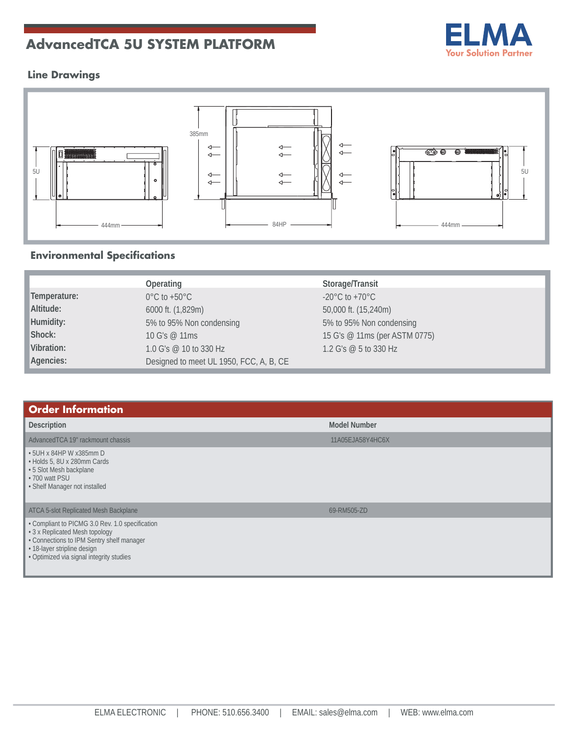# **AdvancedTCA 5U SYSTEM PLATFORM**



# **Line Drawings**



# **Environmental Specifications**

|              | Operating                               | Storage/Transit                    |
|--------------|-----------------------------------------|------------------------------------|
| Temperature: | $0^{\circ}$ C to +50 $^{\circ}$ C       | $-20^{\circ}$ C to $+70^{\circ}$ C |
| Altitude:    | 6000 ft. (1,829m)                       | 50,000 ft. (15,240m)               |
| Humidity:    | 5% to 95% Non condensing                | 5% to 95% Non condensing           |
| Shock:       | 10 G's @ 11ms                           | 15 G's @ 11ms (per ASTM 0775)      |
| Vibration:   | 1.0 G's @ 10 to 330 Hz                  | 1.2 G's @ 5 to 330 Hz              |
| Agencies:    | Designed to meet UL 1950, FCC, A, B, CE |                                    |

| <b>Order Information</b>                                                                                                                                                                                  |                     |  |
|-----------------------------------------------------------------------------------------------------------------------------------------------------------------------------------------------------------|---------------------|--|
| Description                                                                                                                                                                                               | <b>Model Number</b> |  |
| AdvancedTCA 19" rackmount chassis                                                                                                                                                                         | 11A05EJA58Y4HC6X    |  |
| • 5UH x 84HP W x385mm D<br>• Holds 5, 8U x 280mm Cards<br>• 5 Slot Mesh backplane<br>• 700 watt PSU<br>• Shelf Manager not installed                                                                      |                     |  |
| ATCA 5-slot Replicated Mesh Backplane                                                                                                                                                                     | 69-RM505-ZD         |  |
| • Compliant to PICMG 3.0 Rev. 1.0 specification<br>• 3 x Replicated Mesh topology<br>• Connections to IPM Sentry shelf manager<br>• 18-layer stripline design<br>• Optimized via signal integrity studies |                     |  |